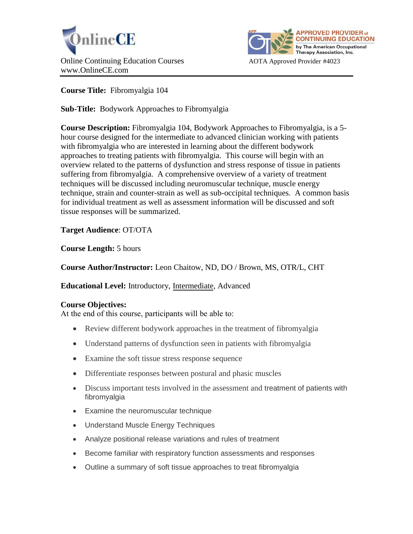



# **Course Title:** Fibromyalgia 104

**Sub-Title:** Bodywork Approaches to Fibromyalgia

**Course Description:** Fibromyalgia 104, Bodywork Approaches to Fibromyalgia, is a 5 hour course designed for the intermediate to advanced clinician working with patients with fibromyalgia who are interested in learning about the different bodywork approaches to treating patients with fibromyalgia. This course will begin with an overview related to the patterns of dysfunction and stress response of tissue in patients suffering from fibromyalgia. A comprehensive overview of a variety of treatment techniques will be discussed including neuromuscular technique, muscle energy technique, strain and counter-strain as well as sub-occipital techniques. A common basis for individual treatment as well as assessment information will be discussed and soft tissue responses will be summarized.

**Target Audience**: OT/OTA

**Course Length:** 5 hours

**Course Author/Instructor:** Leon Chaitow, ND, DO / Brown, MS, OTR/L, CHT

**Educational Level:** Introductory, Intermediate, Advanced

### **Course Objectives:**

At the end of this course, participants will be able to:

- Review different bodywork approaches in the treatment of fibromyalgia
- Understand patterns of dysfunction seen in patients with fibromyalgia
- Examine the soft tissue stress response sequence
- Differentiate responses between postural and phasic muscles
- Discuss important tests involved in the assessment and treatment of patients with fibromyalgia
- Examine the neuromuscular technique
- Understand Muscle Energy Techniques
- Analyze positional release variations and rules of treatment
- Become familiar with respiratory function assessments and responses
- Outline a summary of soft tissue approaches to treat fibromyalgia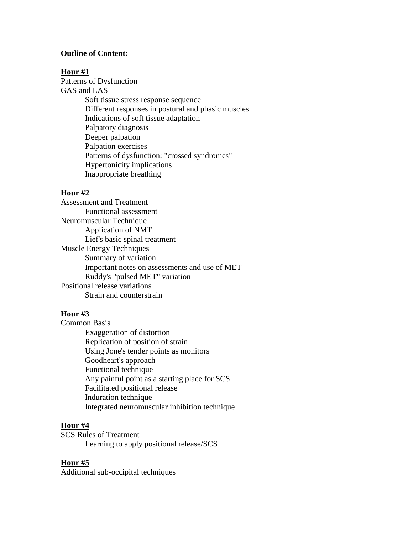#### **Outline of Content:**

#### **Hour #1**

Patterns of Dysfunction GAS and LAS Soft tissue stress response sequence Different responses in postural and phasic muscles Indications of soft tissue adaptation Palpatory diagnosis Deeper palpation Palpation exercises Patterns of dysfunction: "crossed syndromes" Hypertonicity implications Inappropriate breathing

### **Hour #2**

Assessment and Treatment Functional assessment Neuromuscular Technique Application of NMT Lief's basic spinal treatment Muscle Energy Techniques Summary of variation Important notes on assessments and use of MET Ruddy's "pulsed MET" variation Positional release variations Strain and counterstrain

#### **Hour #3**

Common Basis Exaggeration of distortion Replication of position of strain Using Jone's tender points as monitors Goodheart's approach Functional technique Any painful point as a starting place for SCS Facilitated positional release Induration technique Integrated neuromuscular inhibition technique

#### **Hour #4**

SCS Rules of Treatment Learning to apply positional release/SCS

### **Hour #5**

Additional sub-occipital techniques